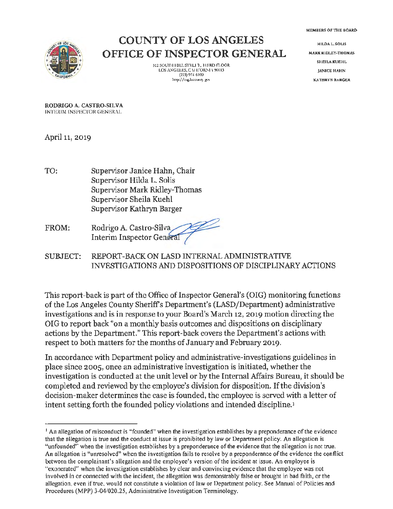MEMBERS OF THE BOARD



### COUNTY OF LOS ANGELES OFFICE OF INSPECTOR GENERAL

312 SOUTH MILL STRLI T. JHIRD FLOOR LOS ANGELES, CALIFORNIA 90013  $(213)$  974-6100 http:// o,g.lacounl) **go,·** 

**HILDALSOUS MARK RIDLEY-THOMAS SHEILA KUEHL JANICE HAHN KATHRYN BARGER** 

**RODRIGO A. CASTRO-SILVA**  INTERIM INSPECTOR GENERAi.

April 11, 2019

- TO: Supervisor Janice Hahn, Chair Supervisor Hilda L. Solis Supervisor Mark Ridley-Thomas Supervisor Sheila Kuehl Supervisor Kathryn Barger
- FROM: Rodrigo A. Castro-Silva~ Interim Inspector General
- SUBJECT: REPORT-BACK ON LASO INTERNAL ADMINISTRATIVE INVESTIGATIONS AND DISPOSITIONS OF DISCIPLINARY ACTIONS

This report-back is part of the Office of Inspector General's (OIG) monitoring functions of the Los Angeles County Sheriffs Department's (LASO/Department) administrative investigations and is in response to your Board's March 12, 2019 motion directing the OIG to report back "on a monthly basis outcomes and dispositions on disciplinary actions by the Department." This report-back covers the Department's actions with respect to both matters for the months of January and February 2019.

In accordance with Department policy and administrative-investigations guidelines in place since 2005, once an administrative investigation is initiated, whether the investigation is conducted at the unit level or by the Internal Affairs Bureau, it should be completed and reviewed by the employee's division for disposition. If the division's decision-maker determines the case is founded, the employee is served with a letter of intent setting forth the founded policy violations and intended discipline.<sup>1</sup>

<sup>1</sup>An allegation of misconduct is "founded" when the investigation establishes by a preponderance of the evidence that the allegation is true and the conduct at issue is prohibited by law or Department policy. An allegation is "unfounded" when the investigation establishes by a preponderance of the evidence that the allegation is not true. An allegation is "unresolved" when the investigation fails to resolve by a preponderance of the evidence the conflict between the complainant's allegation and the employee's version of the incident at issue. An employee is "exonerated" when the investigation establishes by clear and convincing evidence that the employee was not involved in or connected with the incident, the allegation was demonstrably false or brought in bad faith, or the allegation, even if true, would not constitute a violation of law or Department policy. See Manual of Policies and Procedures (MPP) 3-04/020.25, Administrative Investigation Terminology.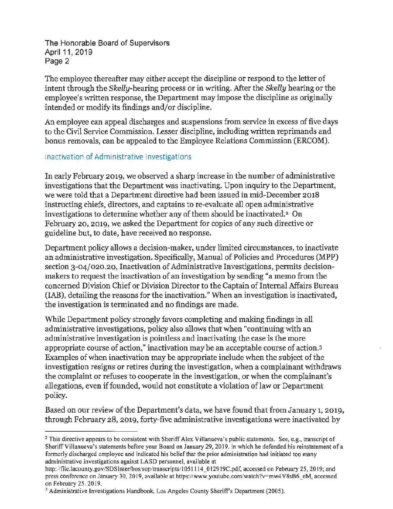The Honorable Board of Supervisors April 11, 2019 Page 2

The employee thereafter may either accept the discipline or respond to the letter of intent through the Skelly-hearing process or in writing. After the *Skelly* hearing or the employee's written response, the Department may impose the discipline as originally intended or modify its findings and/or discipline.

An employee can appeal discharges and suspensions from service in excess of five days to the Civil Service Commission. Lesser discipline, including written reprimands and bonus removals, can be appealed to the Employee Relations Commission (ERCOM).

#### Inactivation of Administrative Investigations

In early February 2019, we observed a sharp increase in the number of administrative investigations that the Department was inactivating. Upon inquiry to the Department, we were told that a Department directive had been issued in mid-December 2018 instructing chiefs, directors, and captains to re-evaluate all open administrative investigations to determine whether any of them should be inactivated.<sup>2</sup> On February 20, 2019, we asked the Department for copies of any such directive or guideline but, to date, have received no response.

Department policy allows a decision-maker, under limited circumstances, to inactivate an administrative investigation. Specifically, Manual of Policies and Procedures (MPP) section 3-04/020.20, Inactivation of Administrative Investigations, permits decisionmakers to request the inactivation of an investigation by sending "a memo from the concerned Division Chief or Division Director to the Captain of Internal Affairs Bureau (IAB), detailing the reasons for the inactivation." When an investigation is inactivated, the investigation is terminated and no findings are made.

While Department policy strongly favors completing and making findings in all administrative investigations, policy also allows that when "continuing with an administrative investigation is pointless and inactivating the case is the more appropriate course of action," inactivation may be an acceptable course of action.<sup>3</sup> Examples of when inactivation may be appropriate include when the subject of the investigation resigns or retires during the investigation, when a complainant withdraws the complaint or refuses to cooperate in the investigation, or when the complainant's allegations, even if founded, would not constitute a violation of law or Department policy.

Based on our review of the Department's data, we have found that from January 1, 2019, through February 28, 2019, forty-five administrative investigations were inactivated by

<sup>&</sup>lt;sup>2</sup> This directive appears to be consistent with Sheriff Alex Villanueva's public statements. See, e.g., transcript of Sheriff Villanueva's statements before your Board on January 29, 2019, in which he defended his reinstatement of a fonnerly discharged employee and indicated his belief that the prior administration had initiated too many administrative investigations against LASO personnel, available at

http://file.lacounty.gov/SDSInter/bos/sop/transcripts/1051114 012919C.pdf, accessed on February 25, 2019; and press conference on January 30, 2019, available at https://www.youtube.com/watch?v=mw4V8sB6\_eM, accessed on February 25, 2019.

<sup>&</sup>lt;sup>3</sup> Administrative Investigations Handbook, Los Angeles County Sheriff's Department (2005).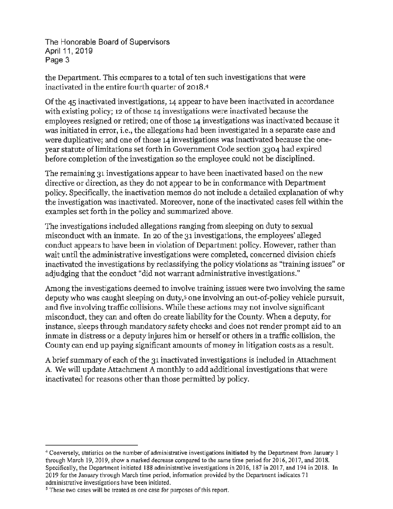The Honorable Board of Supervisors April 11, 2019 Page 3

the Department. This compares to a total of ten such investigations that were inactivated in the entire fourth quarter of 2018.4

Of the 45 inactivated investigations, 14 appear to have been inactivated in accordance with existing policy; 12 of those 14 investigations were inactivated because the employees resigned or retired; one of those 14 investigations was inactivated because it was initiated in error, i.e., the allegations had been investigated in a separate case and were duplicative; and one of those 14 investigations was inactivated because the oneyear statute of limitations set forth in Government Code section 3304 had expired before completion of the investigation so the employee could not be disciplined.

The remaining 31 investigations appear to have been inactivated based on the new directive or direction, as they do not appear to be in conformance with Department policy. Specifically, the inactivation memos do not include a detailed explanation of why the investigation was inactivated. Moreover, none of the inactivated cases fell within the examples set forth in the policy and summarized above.

The investigations included allegations ranging from sleeping on duty to sexual misconduct with an inmate. In 20 of the 31 investigations, the employees' alleged conduct appears to have been in violation of Department policy. However, rather than wait until the administrative investigations were completed, concerned division chiefs inactivated the investigations by reclassifying the policy violations as "training issues" or adjudging that the conduct "did not warrant administrative investigations."

Among the investigations deemed to involve training issues were two involving the same deputy who was caught sleeping on duty,<sup>5</sup> one involving an out-of-policy vehicle pursuit, and five involving traffic collisions. While these actions may not involve significant misconduct, they can and often do create liability for the County. When a deputy, for instance, sleeps through mandatory safety checks and does not render prompt aid to an inmate in distress or a deputy injures him or herself or others in a traffic collision, the County can end up paying significant amounts of money in litigation costs as a result.

A brief summary of each of the 31 inactivated investigations is included in Attachment A. We will update Attachment A monthly to add additional investigations that were inactivated for reasons other than those permitted by policy.

<sup>4</sup>Conversely, statistics on the number of administrative investigations **initiated** by the Department from January 1 through March 19, 2019, show a marked decrease compared to the same time period for 2016, 2017, and 2018. Specifically, the Department initiated 188 administrative investigations in 2016, 187 in 2017, and 194 in 2018. In 2019 for the January through March time period, information provided by the Department indicates 71 administrative investigations have been initiated.

*s* These two cases will be treated as one case for purposes of this report.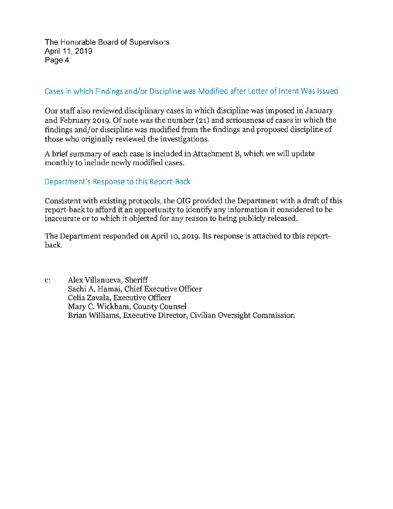The Honorable Board of Supervisors April 11, 2019 Page 4

#### Cases in which Findings and/or Discipline was Modified after Letter of Intent Was Issued

Our staff also reviewed disciplinary cases in which discipline was imposed in January and February 2019. Of note was the number (21) and seriousness of cases in which the findings and/or discipline was modified from the findings and proposed discipline of those who originally reviewed the investigations.

A brief summary of each case is included in Attachment B, which we will update monthly to include newly modified cases.

#### Department's Response to this Report-Back

Consistent with existing protocols, the OIG provided the Department with a draft of this report-back to afford it an opportunity to identify any information it considered to be inaccurate or to which it objected for any reason to being publicly released.

The Department responded on April 10, 2019. Its response is attached to this reportback.

c: Alex Villanueva, Sheriff Sachi A. Hamai, Chief Executive Officer Celia Zavala, Executive Officer Mary C. Wickham, County Counsel Brian Williams, Executive Director, Civilian Oversight Commission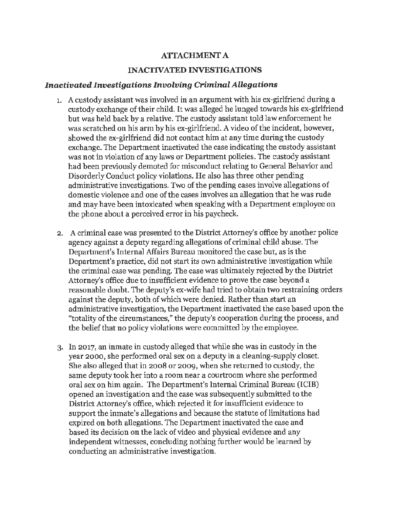#### **ATIACHMENT A**

#### **INACTIVATED INVESTIGATIONS**

#### *Inactivated Investigations Involving Criminal Allegations*

- 1. A custody assistant was involved in an argument with his ex-girlfriend during a custody exchange of their child. It was alleged he lunged towards his ex-girlfriend but was held back by a relative. The custody assistant told law enforcement he was scratched on his arm by his ex-girlfriend. A video of the incident, however, showed the ex-girlfriend did not contact him at any time during the custody exchange. The Department inactivated the case indicating the custody assistant was not in violation of any laws or Department policies. The custody assistant had been previously demoted for misconduct relating to General Behavior and Disorderly Conduct policy violations. He also has three other pending administrative investigations. Two of the pending cases involve allegations of domestic violence and one of the cases involves an allegation that he was rude and may have been intoxicated when speaking with a Department employee on the phone about a perceived error in his paycheck.
- 2. A criminal case was presented to the District Attorney's office by another police agency against a deputy regarding allegations of criminal child abuse. The Department's Internal Affairs Bureau monitored the case but, as is the Department's practice, did not start its own administrative investigation while the criminal case was pending. The case was ultimately rejected by the District Attorney's office due to insufficient evidence to prove the case beyond a reasonable doubt. The deputy's ex-wife had tried to obtain two restraining orders against the deputy, both of which were denied. Rather than start an administrative investigation, the Department inactivated the case based upon the "totality of the circumstances," the deputy's cooperation during the process, and the belief that no policy violations were committed by the employee.
- 3. In 2017, an inmate in custody alleged that while she was in custody in the year 2000, she performed oral sex on a deputy in a cleaning-supply closet. She also alleged that in 2008 or 2009, when she returned to custody, the same deputy took her into a room near a courtroom where she performed oral sex on him again. The Department's Internal Criminal Bureau (ICIB) opened an investigation and the case was subsequently submitted to the District Attorney's office, which rejected it for insufficient evidence to support the inmate's allegations and because the statute of limitations had expired on both allegations. The Department inactivated the case and based its decision on the lack of video and physical evidence and any independent witnesses, concluding nothing further would be learned by conducting an administrative investigation.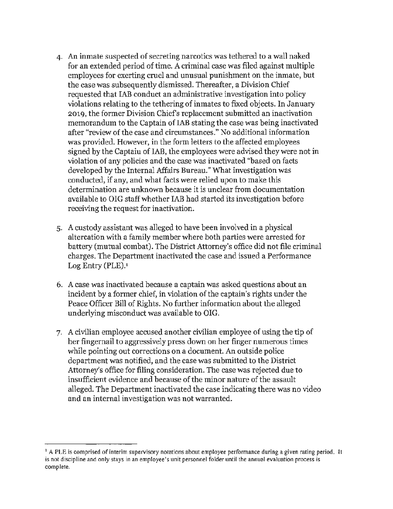- 4. An inmate suspected of secreting narcotics was tethered to a wall naked for an extended period of time. A criminal case was filed against multiple employees for exerting cruel and unusual punishment on the inmate, but the case was subsequently dismissed. Thereafter, a Division Chief requested that IAB conduct an administrative investigation into policy violations relating to the tethering of inmates to fixed objects. In January 2019, the former Division Chiefs replacement submitted an inactivation memorandum to the Captain of IAB stating the case was being inactivated after "review of the case and circumstances." No additional information was provided. However, in the form letters to the affected employees signed by the Captain of IAB, the employees were advised they were not in violation of any policies and the case was inactivated "based on facts developed by the Internal Affairs Bureau." What investigation was conducted, if any, and what facts were relied upon to make this determination are unknown because it is unclear from documentation available to OIG staff whether IAB had started its investigation before receiving the request for inactivation.
- 5. A custody assistant was alleged to have been involved in a physical altercation with a family member where both parties were arrested for battery (mutual combat). The District Attorney's office did not file criminal charges. The Department inactivated the case and issued a Performance Log Entry (PLE).1
- 6. A case was inactivated because a captain was asked questions about an incident by a former chief, in violation of the captain's rights under the Peace Officer Bill of Rights. No further information about the alleged underlying misconduct was available to OIG.
- 7. A civilian employee accused another civilian employee of using the tip of her fingernail to aggressively press down on her finger numerous times while pointing out corrections on a document. An outside police department was notified, and the case was submitted to the District Attorney's office for filing consideration. The case was rejected due to insufficient evidence and because of the minor nature of the assault alleged. The Department inactivated the case indicating there was no video and an internal investigation was not warranted.

<sup>&</sup>lt;sup>1</sup> A PLE is comprised of interim supervisory notations about employee performance during a given rating period. It is not discipline and only stays in an employee's unit personnel folder until the annual evaluation process is complete.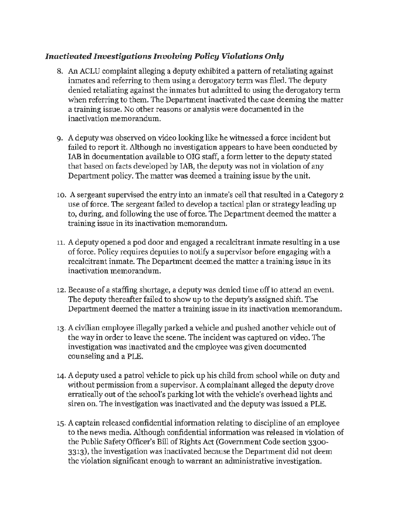#### *Inactivated Investigations Involving Policy Violations Only*

- 8. An ACLU complaint alleging a deputy exhibited a pattern of retaliating against inmates and referring to them using a derogatory term was filed. The deputy denied retaliating against the inmates but admitted to using the derogatory term when referring to them. The Department inactivated the case deeming the matter a training issue. No other reasons or analysis were documented in the inactivation memorandum.
- 9. A deputy was observed on video looking like he witnessed a force incident but failed to report it. Although no investigation appears to have been conducted by IAB in documentation available to OIG staff, a form letter to the deputy stated that based on facts developed by IAB, the deputy was not in violation of any Department policy. The matter was deemed a training issue by the unit.
- 10. A sergeant supervised the entry into an inmate's cell that resulted in a Category 2 use of force. The sergeant failed to develop a tactical plan or strategy leading up to, during, and following the use of force. The Department deemed the matter a training issue in its inactivation memorandum.
- 11. A deputy opened a pod door and engaged a recalcitrant inmate resulting in a use of force. Policy requires deputies to notify a supervisor before engaging with a recalcitrant inmate. The Department deemed the matter a training issue in its inactivation memorandum.
- 12. Because of a staffing shortage, a deputy was denied time off to attend an event. The deputy thereafter failed to show up to the deputy's assigned shift. The Department deemed the matter a training issue in its inactivation memorandum.
- 13. A civilian employee illegally parked a vehicle and pushed another vehicle out of the way in order to leave the scene. The incident was captured on video. The investigation was inactivated and the employee was given documented counseling and a PLE.
- 14. A deputy used a patrol vehicle to pick up his child from school while on duty and without permission from a supervisor. A complainant alleged the deputy drove erratically out of the school's parking lot with the vehicle's overhead lights and siren on. The investigation was inactivated and the deputy was issued a PLE.
- 15. A captain released confidential information relating to discipline of an employee to the news media. Although confidential information was released in violation of the Public Safety Officer's Bill of Rights Act (Government Code section 3300- 3313), the investigation was inactivated because the Department did not deem the violation significant enough to warrant an administrative investigation.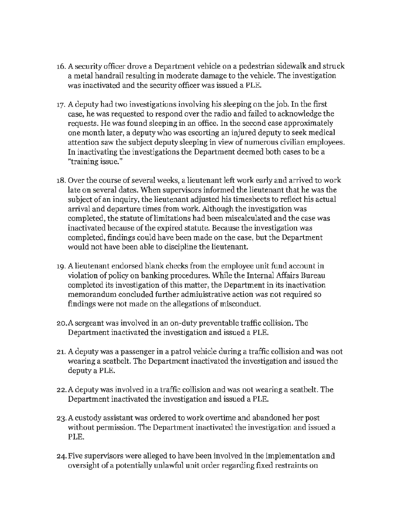- 16. A security officer drove a Department vehicle on a pedestrian sidewalk and struck a metal handrail resulting in moderate damage to the vehicle. The investigation was inactivated and the security officer was issued a PLE.
- 17. A deputy had two investigations involving his sleeping on the job. In the first case, he was requested to respond over the radio and failed to acknowledge the requests. He was found sleeping in an office. In the second case approximately one month later, a deputy who was escorting an injured deputy to seek medical attention saw the subject deputy sleeping in view of numerous civilian employees. In inactivating the investigations the Department deemed both cases to be a "training issue."
- 18. Over the course of several weeks, a lieutenant left work early and arrived to work late on several dates. When supervisors informed the lieutenant that he was the subject of an inquiry, the lieutenant adjusted his timesheets to reflect his actual arrival and departure times from work. Although the investigation was completed, the statute of limitations had been miscalculated and the case was inactivated because of the expired statute. Because the investigation was completed, findings could have been made on the case, but the Department would not have been able to discipline the lieutenant.
- 19. A lieutenant endorsed blank checks from the employee unit fund account in violation of policy on banking procedures. While the Internal Affairs Bureau completed its investigation of this matter, the Department in its inactivation memorandum concluded further administrative action was not required so findings were not made on the allegations of misconduct.
- 20.A sergeant was involved in an on-duty preventable traffic collision. The Department inactivated the investigation and issued a PLE.
- 21. A deputy was a passenger in a patrol vehicle during a traffic collision and was not wearing a seatbelt. The Department inactivated the investigation and issued the deputy a PLE.
- 22.A deputy was involved in a traffic collision and was not wearing a seatbelt. The Department inactivated the investigation and issued a PLE.
- 23. A custody assistant was ordered to work overtime and abandoned her post without permission. The Department inactivated the investigation and issued a PLE.
- 24. Five supervisors were alleged to have been involved in the implementation and oversight of a potentially unlawful unit order regarding fixed restraints on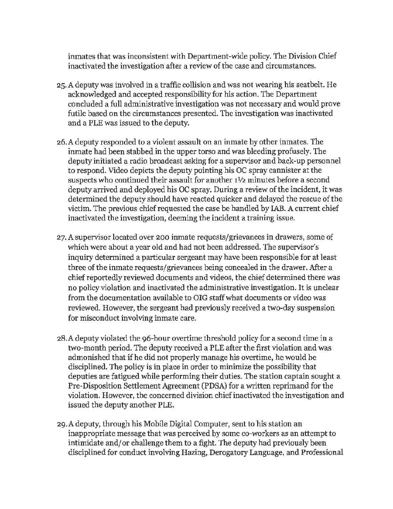inmates that was inconsistent with Department-wide policy. The Division Chief inactivated the investigation after a review of the case and circumstances.

- 25. A deputy was involved in a traffic collision and was not wearing his seatbelt. He acknowledged and accepted responsibility for his action. The Department concluded a full administrative investigation was not necessary and would prove futile based on the circumstances presented. The investigation was inactivated and a PLE was issued to the deputy.
- 26. A deputy responded to a violent assault on an inmate by other inmates. The inmate had been stabbed in the upper torso and was bleeding profusely. The deputy initiated a radio broadcast asking for a supervisor and back-up personnel to respond. Video depicts the deputy pointing his OC spray cannister at the suspects who continued their assault for another 11/2 minutes before a second deputy arrived and deployed his OC spray. During a review of the incident, it was determined the deputy should have reacted quicker and delayed the rescue of the victim. The previous chief requested the case be handled by IAB. A current chief inactivated the investigation, deeming the incident a training issue.
- 27. A supervisor located over 200 inmate requests/grievances in drawers, some of which were about a year old and had not been addressed. The supervisor's inquiry determined a particular sergeant may have been responsible for at least three of the inmate requests/grievances being concealed in the drawer. After a chief reportedly reviewed documents and videos, the chief determined there was no policy violation and inactivated the administrative investigation. It is unclear from the documentation available to OIG staff what documents or video was reviewed. However, the sergeant had previously received a two-day suspension for misconduct involving inmate care.
- 28.A deputy violated the 96-hour overtime threshold policy for a second time in a two-month period. The deputy received a PLE after the first violation and was admonished that if he did not properly manage his overtime, he would be disciplined. The policy is **in** place in order to minimize the possibility that deputies are fatigued while performing their duties. The station captain sought a Pre-Disposition Settlement Agreement (PDSA) for a written reprimand for the violation. However, the concerned division chief inactivated the investigation and issued the deputy another PLE.
- 29.A deputy, through his Mobile Digital Computer, sent to his station an inappropriate message that was perceived by some co-workers as an attempt to intimidate and/or challenge them to a fight. The deputy had previously been disciplined for conduct involving Hazing, Derogatory Language, and Professional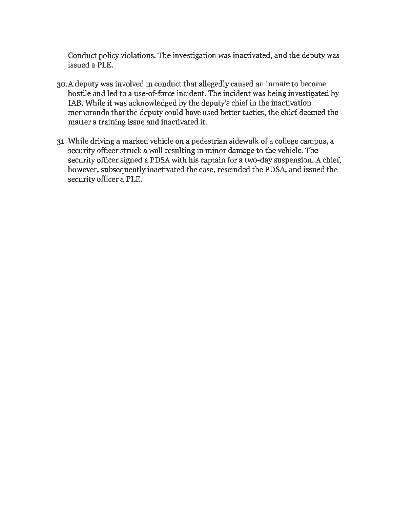Conduct policy violations. The investigation was inactivated, and the deputy was issued a PLE.

- 30.A deputy was involved in conduct that allegedly caused an inmate to become hostile and led to a use-of-force incident. The incident was being investigated by IAB. While it was acknowledged by the deputy's chief in the inactivation memoranda that the deputy could have used better tactics, the chief deemed the matter a training issue and inactivated it.
- 31. While driving a marked vehicle on a pedestrian sidewalk of a college campus, a security officer struck a wall resulting in minor damage to the vehicle. The security officer signed a PDSA with his captain for a two-day suspension. A chief, however, subsequently inactivated the case, rescinded the PDSA, and issued the security officer a PLE.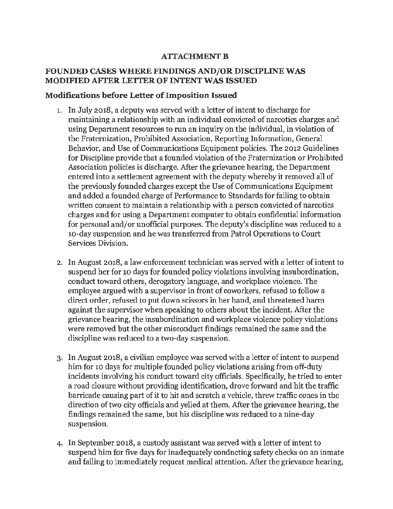#### **AITACHMENT B**

#### **FOUNDED CASES WHERE FINDINGS AND/OR DISCIPLINE WAS MODIFIED AFfER LETTER OF INTENT WAS ISSUED**

#### **Modifications before Letter of Imposition Issued**

- 1. In July 2018, a deputy was served with a letter of intent to discharge for maintaining a relationship with an individual convicted of narcotics charges and using Department resources to run an inquiry on the individual, in violation of the Fraternization, Prohibited Association, Reporting Information, General Behavior, and Use of Communications Equipment policies. The 2012 Guidelines for Discipline provide that a founded violation of the Fraternization or Prohibited Association policies is discharge. After the grievance hearing, the Department entered into a settlement agreement with the deputy whereby it removed all of the previously founded charges except the Use of Communications Equipment and added a founded charge of Performance to Standards for failing to obtain written consent to maintain a relationship with a person convicted of narcotics charges and for using a Department computer to obtain confidential information for personal and/or unofficial purposes. The deputy's discipline was reduced to a 10-day suspension and he was transferred from Patrol Operations to Court Services Division.
- 2. In August 2018, a law enforcement technician was served with a letter of intent to suspend her for 10 days for founded policy violations involving insubordination, conduct toward others, derogatory language, and workplace violence. The employee argued with a supervisor in front of coworkers, refused to follow a direct order, refused to put down scissors in her hand, and threatened harm against the supervisor when speaking to others about the incident. After the grievance hearing, the insubordination and workplace violence policy violations were removed but the other misconduct findings remained the same and the discipline was reduced to a two-day suspension.
- 3. In August 2018, a civilian employee was served with a letter of intent to suspend him for 10 days for multiple founded policy violations arising from off-duty incidents involving his conduct toward city officials. Specifically, he tried to enter a road closure without providing identification, drove forward and hit the traffic barricade causing part of it to hit and scratch a vehicle, threw traffic cones in the direction of two city officials and yelled at them. After the grievance hearing, the findings remained the same, but his discipline was reduced to a nine-day suspension.
- 4. In September 2018, a custody assistant was served with a letter of intent to suspend him for five days for inadequately conducting safety checks on an inmate and failing to immediately request medical attention. After the grievance hearing,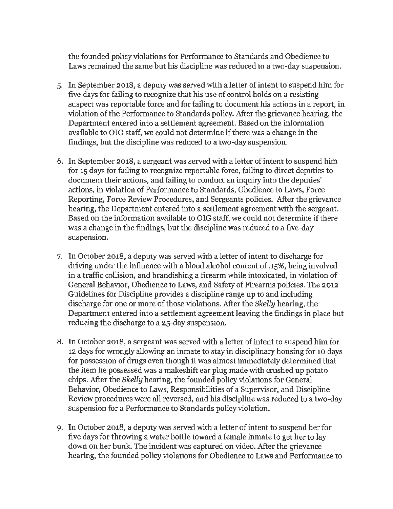the founded policy violations for Performance to Standards and Obedience to Laws remained the same but his discipline was reduced to a two-day suspension.

- 5. In September 2018, a deputy was served with a letter of intent to suspend him for five days for failing to recognize that his use of control holds on a resisting suspect was reportable force and for failing to document his actions in a report, in violation of the Performance to Standards policy. After the grievance hearing, the Department entered into a settlement agreement. Based on the information available to OIG staff, we could not determine if there was a change in the findings, but the discipline was reduced to a two-day suspension.
- 6. In September 2018, a sergeant was served with a letter of intent to suspend him for 15 days for failing to recognize reportable force, failing to direct deputies to document their actions, and failing to conduct an inquiry into the deputies' actions, in violation of Performance to Standards, Obedience to Laws, Force Reporting, Force Review Procedures, and Sergeants policies. After the grievance hearing, the Department entered into a settlement agreement with the sergeant. Based on the information available to OIG staff, we could not determine if there was a change in the findings, but the discipline was reduced to a five-day suspension.
- 7. In October 2018, a deputy was served with a letter of intent to discharge for driving under the influence with a blood alcohol content of .15%, being involved in a traffic collision, and brandishing a firearm while intoxicated, in violation of General Behavior, Obedience to Laws, and Safety of Firearms policies. The 2012 Guidelines for Discipline provides a discipline range up to and including discharge for one or more of those violations. After the *Skelly* hearing, the Department entered into a settlement agreement leaving the findings in place but reducing the discharge to a 25-day suspension.
- 8. In October 2018, a sergeant was served with a letter of intent to suspend him for 12 days for wrongly allowing an inmate to stay in disciplinary housing for 10 days for possession of drugs even though it was almost immediately determined that the item he possessed was a makeshift ear plug made with crushed up potato chips. After the *Skelly* hearing, the founded policy violations for General Behavior, Obedience to Laws, Responsibilities of a Supervisor, and Discipline Review procedures were all reversed, and his discipline was reduced to a two-day suspension for a Performance to Standards policy violation.
- 9. In October 2018, a deputy was served with a letter of intent to suspend her for five days for throwing a water bottle toward a female inmate to get her to lay down on her bunk. The incident was captured on video. After the grievance hearing, the founded policy violations for Obedience to Laws and Performance to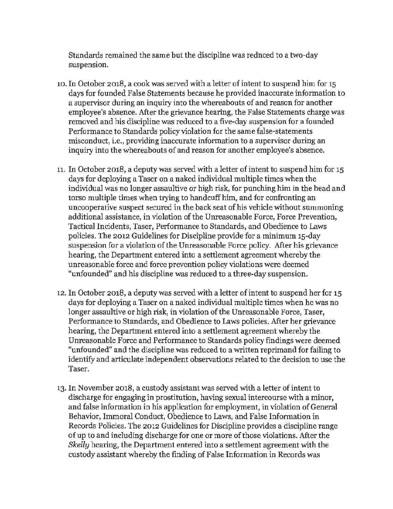Standards remained the same but the discipline was reduced to a two-day suspension.

- 10. In October 2018, a cook was served with a letter of intent to suspend him for 15 days for founded False Statements because he provided inaccurate information to a supervisor during an inquiry into the whereabouts of and reason for another employee's absence. After the grievance hearing, the False Statements charge was removed and his discipline was reduced to a five-day suspension for a founded Performance to Standards policy violation for the same false-statements misconduct, i.e., providing inaccurate information to a supervisor during an inquiry into the whereabouts of and reason for another employee's absence.
- 11. In October 2018, a deputy was served with a letter of intent to suspend him for 15 days for deploying a Taser on a naked individual multiple times when the individual was no longer assaultive or high risk, for punching him in the head and torso multiple times when trying to handcuff him, and for confronting an uncooperative suspect secured in the back seat of his vehicle without summoning additional assistance, in violation of the Unreasonable Force, Force Prevention, Tactical Incidents, Taser, Performance to Standards, and Obedience to Laws policies. The 2012 Guidelines for Discipline provide for a minimum 15-day suspension for a violation of the Unreasonable Force policy. After his grievance hearing, the Department entered into a settlement agreement whereby the unreasonable force and force prevention policy violations were deemed "unfounded" and his discipline was reduced to a three-day suspension.
- 12. In October 2018, a deputy was served with a letter of intent to suspend her for 15 days for deploying a Taser on a naked individual multiple times when he was no longer assaultive or high risk, in violation of the Unreasonable Force, Taser, Performance to Standards, and Obedience to Laws policies. After her grievance hearing, the Department entered into a settlement agreement whereby the Unreasonable Force and Performance to Standards policy findings were deemed "unfounded" and the discipline was reduced to a written reprimand for failing to identify and articulate independent observations related to the decision to use the Taser.
- 13. In November 2018, a custody assistant was served with a letter of intent to discharge for engaging in prostitution, having sexual intercourse with a minor, and false information in his application for employment, in violation of General Behavior, Immoral Conduct, Obedience to Laws, and False Information in Records Policies. The 2012 Guidelines for Discipline provides a discipline range of up to and including discharge for one or more of those violations. After the *Skelly* hearing, the Department entered into a settlement agreement with the custody assistant whereby the finding of False Information in Records was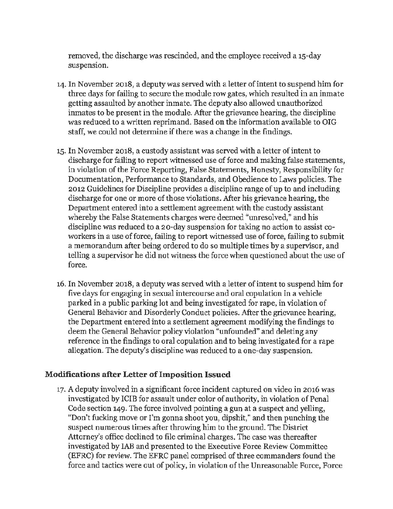removed, the discharge was rescinded, and the employee received a 15-day suspension.

- 14. In November 2018, a deputy was served with a letter of intent to suspend him for three days for failing to secure the module row gates, which resulted in an inmate getting assaulted by another inmate. The deputy also allowed unauthorized inmates to be present in the module. After the grievance hearing, the discipline was reduced to a written reprimand. Based on the information available to OIG staff, we could not determine if there was a change in the findings.
- 15. In November 2018, a custody assistant was served with a letter of intent to discharge for failing to report witnessed use of force and making false statements, in violation of the Force Reporting, False Statements, Honesty, Responsibility for Documentation, Performance to Standards, and Obedience to Laws policies. The 2012 Guidelines for Discipline provides a discipline range of up to and including discharge for one or more of those violations. After his grievance hearing, the Department entered into a settlement agreement with the custody assistant whereby the False Statements charges were deemed "unresolved," and his discipline was reduced to a 20-day suspension for taking no action to assist coworkers in a use of force, failing to report witnessed use of force, failing to submit a memorandum after being ordered to do so multiple times by a supervisor, and telling a supervisor he did not witness the force when questioned about the use of force.
- 16. In November 2018, a deputy was served with a letter of intent to suspend him for five days for engaging in sexual intercourse and oral copulation in a vehicle parked in a public parking lot and being investigated for rape, in violation of General Behavior and Disorderly Conduct policies. After the grievance hearing, the Department entered into a settlement agreement modifying the findings to deem the General Behavior policy violation "unfounded" and deleting any reference in the findings to oral copulation and to being investigated for a rape allegation. The deputy's discipline was reduced to a one-day suspension.

#### **Modifications after Letter of Imposition Issued**

17. A deputy involved in a significant force incident captured on video in 2016 was investigated by ICIB for assault under color of authority, in violation of Penal Code section 149. The force involved pointing a gun at a suspect and yelling, "Don't fucking move or I'm gonna shoot you, dipshit," and then punching the suspect numerous times after throwing him to the ground. The District Attorney's office declined to file criminal charges. The case was thereafter investigated by lAB and presented to the Executive Force Review Committee (EFRC) for review. The EFRC panel comprised of three commanders found the force and tactics were out of policy, in violation of the Unreasonable Force, Force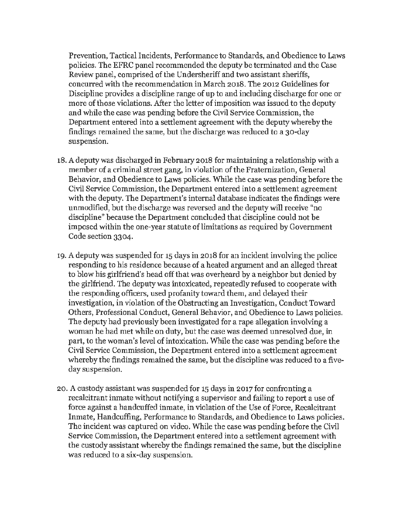Prevention, Tactical Incidents, Performance to Standards, and Obedience to Laws policies. The EFRC panel recommended the deputy be terminated and the Case Review panel, comprised of the Undersheriff and two assistant sheriffs, concurred with the recommendation in March 2018. The 2012 Guidelines for Discipline provides a discipline range of up to and including discharge for one or more of those violations. After the letter of imposition was issued to the deputy and while the case was pending before the Civil Service Commission, the Department entered into a settlement agreement with the deputy whereby the findings remained the same, but the discharge was reduced to a 30-day suspension.

- 18. A deputy was discharged in February 2018 for maintaining a relationship with a member of a criminal street gang, in violation of the Fraternization, General Behavior, and Obedience to Laws policies. While the case was pending before the Civil Service Commission, the Department entered into a settlement agreement with the deputy. The Department's internal database indicates the findings were unmodified, but the discharge was reversed and the deputy will receive "no discipline" because the Department concluded that discipline could not be imposed within the one-year statute of limitations *as* required by Government Code section 3304.
- 19. A deputy was suspended for 15 days in 2018 for an incident involving the police responding to his residence because of a heated argument and an alleged threat to blow his girlfriend's head off that was overheard by a neighbor but denied by the girlfriend. The deputy was intoxicated, repeatedly refused to cooperate with the responding officers, used profanity toward them, and delayed their investigation, in violation of the Obstructing an Investigation, Conduct Toward Others, Professional Conduct, General Behavior, and Obedience to Laws policies. The deputy had previously been investigated for a rape allegation involving a woman he had met while on duty, but the case was deemed unresolved due, in part, to the woman's level of intoxication. While the case was pending before the Civil Service Commission, the Department entered into a settlement agreement whereby the findings remained the same, but the discipline was reduced to a fiveday suspension.
- 20. A custody assistant was suspended for 15 days in 2017 for confronting a recalcitrant inmate without notifying a supervisor and failing to report a use of force against a handcuffed inmate, in violation of the Use of Force, Recalcitrant Inmate, Handcuffing, Performance to Standards, and Obedience to Laws policies. The incident *was* captured on video. While the case was pending before the Civil Service Commission, the Department entered into a settlement agreement with the custody assistant whereby the findings remained the same, but the discipline was reduced to a six-day suspension.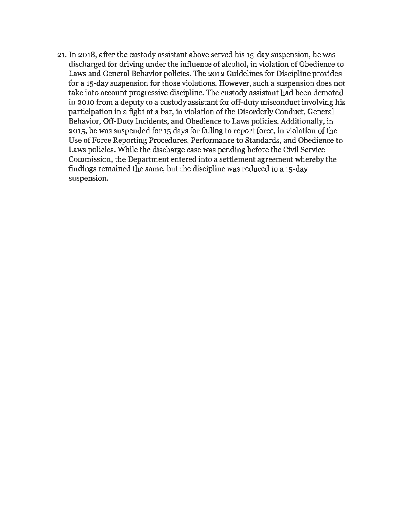21. In 2018, after the custody assistant above served his 15-day suspension, he was discharged for driving under the influence of alcohol, in violation of Obedience to Laws and General Behavior policies. The 2012 Guidelines for Discipline provides for a 15-day suspension for those violations. However, such a suspension does not take into account progressive discipline. The custody assistant had been demoted in 2010 from a deputy to a custody assistant for off-duty misconduct involving his participation in a fight at a bar, in violation of the Disorderly Conduct, General Behavior, Off-Duty Incidents, and Obedience to Laws policies. Additionally, in 2015, he was suspended for 15 days for failing to report force, in violation of the Use of Force Reporting Procedures, Performance to Standards, and Obedience to Laws policies. While the discharge case was pending before the Civil Service Commission, the Department entered into a settlement agreement whereby the findings remained the same, but the discipline was reduced to a 15-day suspension.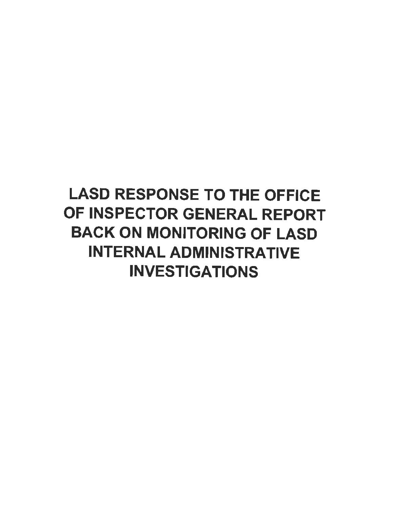# LASD RESPONSE TO THE OFFICE OF INSPECTOR GENERAL REPORT BACK ON MONITORING OF LASD INTERNAL ADMINISTRATIVE INVESTIGATIONS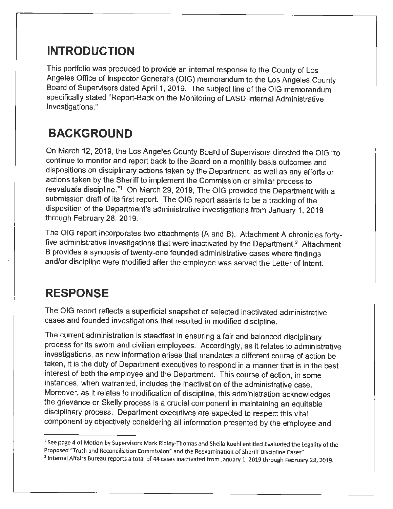### **INTRODUCTION**

This portfolio was produced to provide an internal response to the County of Los Angeles Office of Inspector General's (OIG) memorandum to the Los Angeles County Board of Supervisors dated April 1, 2019. The subject line of the OIG memorandum specifically stated "Report-Back on the Monitoring of LASO Internal Administrative Investigations."

## **BACKGROUND**

On March 12, 2019, the Los Angeles County Board of Supervisors directed the OIG "to continue to monitor and report back to the Board on a monthly basis outcomes and dispositions on disciplinary actions taken by the Department, as well as any efforts or actions taken by the Sheriff to implement the Commission or similar process to reevaluate discipline."1 On March 29, 2019, The OIG provided the Department with a submission draft of its first report. The OIG report asserts to be a tracking of the disposition of the Department's administrative investigations from January 1, 2019 through February 28, 2019.

The OIG report incorporates two attachments (A and B). Attachment A chronicles fortyfive administrative investigations that were inactivated by the Department.<sup>2</sup> Attachment B provides a synopsis of twenty-one founded administrative cases where findings and/or discipline were modified after the employee was served the Letter of Intent.

### **RESPONSE**

The OIG report reflects a superficial snapshot of selected inactivated administrative cases and founded investigations that resulted in modified discipline.

The current administration is steadfast in ensuring a fair and balanced disciplinary process for its sworn and civilian employees. Accordingly, as it relates to administrative investigations, as new information arises that mandates a different course of action be taken, it is the duty of Department executives to respond in a manner that is in the best interest of both the employee and the Department. This course of action, in some instances, when warranted, includes the inactivation of the administrative case. Moreover, as it relates to modification of discipline, this administration acknowledges the grievance or Skelly process is a crucial component in maintaining an equitable disciplinary process. Department executives are expected to respect this vital component by objectively considering all information presented by the employee and

<sup>1</sup>See page 4 of Motion by Supervisors **Mark** Ridley-Thomas and Sheila Kuehl entitled Evaluated the Legality of the Proposed "Truth and Reconciliation Commission" and the Reexamination of Sheriff Discipline Cases"

<sup>2</sup> Internal Affairs Bureau reports a total of 44 cases inactivated from January 1, 2019 through February 28, 2019.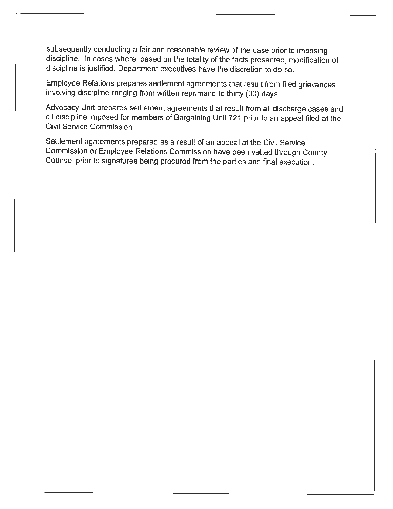subsequently conducting a fair and reasonable review of the case prior to imposing discipline. In cases where, based on the totality of the facts presented, modification of discipline is justified, Department executives have the discretion to do so.

Employee Relations prepares settlement agreements that result from filed grievances involving discipline ranging from written reprimand to thirty (30) days.

Advocacy Unit prepares settlement agreements that result from all discharge cases and all discipline imposed for members of Bargaining Unit 721 prior to an appeal filed at the Civil Service Commission.

Settlement agreements prepared as a result of an appeal at the Civil Service Commission or Employee Relations Commission have been vetted through County Counsel prior to signatures being procured from the parties and final execution.